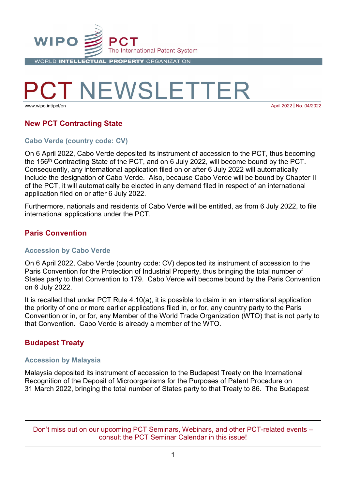

# NEWSLETTER www.wipo.int/pct/en April 2022 **|** No. 04/2022

# **New PCT Contracting State**

### **Cabo Verde (country code: CV)**

On 6 April 2022, Cabo Verde deposited its instrument of accession to the PCT, thus becoming the 156th Contracting State of the PCT, and on 6 July 2022, will become bound by the PCT. Consequently, any international application filed on or after 6 July 2022 will automatically include the designation of Cabo Verde. Also, because Cabo Verde will be bound by Chapter II of the PCT, it will automatically be elected in any demand filed in respect of an international application filed on or after 6 July 2022.

Furthermore, nationals and residents of Cabo Verde will be entitled, as from 6 July 2022, to file international applications under the PCT.

### **Paris Convention**

#### **Accession by Cabo Verde**

On 6 April 2022, Cabo Verde (country code: CV) deposited its instrument of accession to the Paris Convention for the Protection of Industrial Property, thus bringing the total number of States party to that Convention to 179. Cabo Verde will become bound by the Paris Convention on 6 July 2022.

It is recalled that under PCT Rule 4.10(a), it is possible to claim in an international application the priority of one or more earlier applications filed in, or for, any country party to the Paris Convention or in, or for, any Member of the World Trade Organization (WTO) that is not party to that Convention. Cabo Verde is already a member of the WTO.

### **Budapest Treaty**

#### **Accession by Malaysia**

Malaysia deposited its instrument of accession to the Budapest Treaty on the International Recognition of the Deposit of Microorganisms for the Purposes of Patent Procedure on 31 March 2022, bringing the total number of States party to that Treaty to 86. The Budapest

Don't miss out on our upcoming PCT Seminars, Webinars, and other PCT-related events – consult the PCT Seminar Calendar in this issue!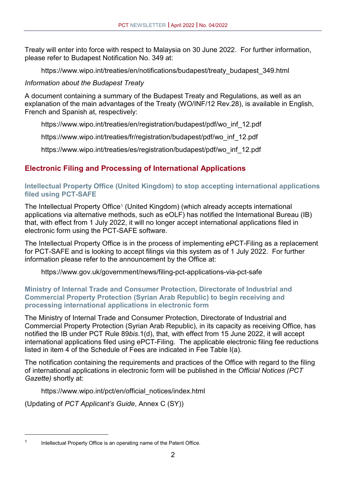Treaty will enter into force with respect to Malaysia on 30 June 2022. For further information, please refer to Budapest Notification No. 349 at:

https://www.wipo.int/treaties/en/notifications/budapest/treaty\_budapest\_349.html

### *Information about the Budapest Treaty*

A document containing a summary of the Budapest Treaty and Regulations, as well as an explanation of the main advantages of the Treaty (WO/INF/12 Rev.28), is available in English, French and Spanish at, respectively:

https://www.wipo.int/treaties/en/registration/budapest/pdf/wo\_inf\_12.pdf

https://www.wipo.int/treaties/fr/registration/budapest/pdf/wo\_inf\_12.pdf

https://www.wipo.int/treaties/es/registration/budapest/pdf/wo\_inf\_12.pdf

# **Electronic Filing and Processing of International Applications**

### **Intellectual Property Office (United Kingdom) to stop accepting international applications filed using PCT-SAFE**

The Intellectual Property Office<sup>[1](#page-1-0)</sup> (United Kingdom) (which already accepts international applications via alternative methods, such as eOLF) has notified the International Bureau (IB) that, with effect from 1 July 2022, it will no longer accept international applications filed in electronic form using the PCT-SAFE software.

The Intellectual Property Office is in the process of implementing ePCT-Filing as a replacement for PCT-SAFE and is looking to accept filings via this system as of 1 July 2022. For further information please refer to the announcement by the Office at:

https://www.gov.uk/government/news/filing-pct-applications-via-pct-safe

### **Ministry of Internal Trade and Consumer Protection, Directorate of Industrial and Commercial Property Protection (Syrian Arab Republic) to begin receiving and processing international applications in electronic form**

The Ministry of Internal Trade and Consumer Protection, Directorate of Industrial and Commercial Property Protection (Syrian Arab Republic), in its capacity as receiving Office, has notified the IB under PCT Rule 89*bis*.1(d), that, with effect from 15 June 2022, it will accept international applications filed using ePCT-Filing. The applicable electronic filing fee reductions listed in item 4 of the Schedule of Fees are indicated in Fee Table I(a).

The notification containing the requirements and practices of the Office with regard to the filing of international applications in electronic form will be published in the *Official Notices (PCT Gazette)* shortly at:

https://www.wipo.int/pct/en/official\_notices/index.html

(Updating of *PCT Applicant's Guide*, Annex C (SY))

<span id="page-1-0"></span>

<sup>&</sup>lt;sup>1</sup> Intellectual Property Office is an operating name of the Patent Office.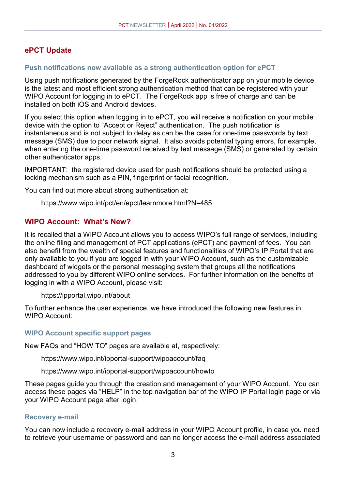### **ePCT Update**

#### **Push notifications now available as a strong authentication option for ePCT**

Using push notifications generated by the ForgeRock authenticator app on your mobile device is the latest and most efficient strong authentication method that can be registered with your WIPO Account for logging in to ePCT. The ForgeRock app is free of charge and can be installed on both iOS and Android devices.

If you select this option when logging in to ePCT, you will receive a notification on your mobile device with the option to "Accept or Reject" authentication. The push notification is instantaneous and is not subject to delay as can be the case for one-time passwords by text message (SMS) due to poor network signal. It also avoids potential typing errors, for example, when entering the one-time password received by text message (SMS) or generated by certain other authenticator apps.

IMPORTANT: the registered device used for push notifications should be protected using a locking mechanism such as a PIN, fingerprint or facial recognition.

You can find out more about strong authentication at:

https://www.wipo.int/pct/en/epct/learnmore.html?N=485

### **WIPO Account: What's New?**

It is recalled that a WIPO Account allows you to access WIPO's full range of services, including the online filing and management of PCT applications (ePCT) and payment of fees. You can also benefit from the wealth of special features and functionalities of WIPO's IP Portal that are only available to you if you are logged in with your WIPO Account, such as the customizable dashboard of widgets or the personal messaging system that groups all the notifications addressed to you by different WIPO online services. For further information on the benefits of logging in with a WIPO Account, please visit:

https://ipportal.wipo.int/about

To further enhance the user experience, we have introduced the following new features in WIPO Account:

#### **WIPO Account specific support pages**

New FAQs and "HOW TO" pages are available at, respectively:

https://www.wipo.int/ipportal-support/wipoaccount/faq

https://www.wipo.int/ipportal-support/wipoaccount/howto

These pages guide you through the creation and management of your WIPO Account. You can access these pages via "HELP" in the top navigation bar of the WIPO IP Portal login page or via your WIPO Account page after login.

#### **Recovery e-mail**

You can now include a recovery e-mail address in your WIPO Account profile, in case you need to retrieve your username or password and can no longer access the e-mail address associated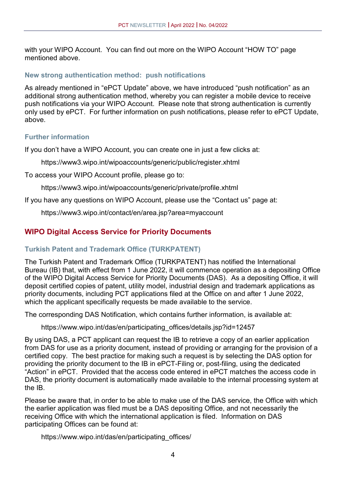with your WIPO Account. You can find out more on the WIPO Account "HOW TO" page mentioned above.

#### **New strong authentication method: push notifications**

As already mentioned in "ePCT Update" above, we have introduced "push notification" as an additional strong authentication method, whereby you can register a mobile device to receive push notifications via your WIPO Account. Please note that strong authentication is currently only used by ePCT. For further information on push notifications, please refer to ePCT Update, above.

#### **Further information**

If you don't have a WIPO Account, you can create one in just a few clicks at:

https://www3.wipo.int/wipoaccounts/generic/public/register.xhtml

To access your WIPO Account profile, please go to:

https://www3.wipo.int/wipoaccounts/generic/private/profile.xhtml

If you have any questions on WIPO Account, please use the "Contact us" page at:

https://www3.wipo.int/contact/en/area.jsp?area=myaccount

# **WIPO Digital Access Service for Priority Documents**

### **Turkish Patent and Trademark Office (TURKPATENT)**

The Turkish Patent and Trademark Office (TURKPATENT) has notified the International Bureau (IB) that, with effect from 1 June 2022, it will commence operation as a depositing Office of the WIPO Digital Access Service for Priority Documents (DAS). As a depositing Office, it will deposit certified copies of patent, utility model, industrial design and trademark applications as priority documents, including PCT applications filed at the Office on and after 1 June 2022, which the applicant specifically requests be made available to the service.

The corresponding DAS Notification, which contains further information, is available at:

https://www.wipo.int/das/en/participating\_offices/details.jsp?id=12457

By using DAS, a PCT applicant can request the IB to retrieve a copy of an earlier application from DAS for use as a priority document, instead of providing or arranging for the provision of a certified copy. The best practice for making such a request is by selecting the DAS option for providing the priority document to the IB in ePCT-Filing or, post-filing, using the dedicated "Action" in ePCT. Provided that the access code entered in ePCT matches the access code in DAS, the priority document is automatically made available to the internal processing system at the IB.

Please be aware that, in order to be able to make use of the DAS service, the Office with which the earlier application was filed must be a DAS depositing Office, and not necessarily the receiving Office with which the international application is filed. Information on DAS participating Offices can be found at:

https://www.wipo.int/das/en/participating\_offices/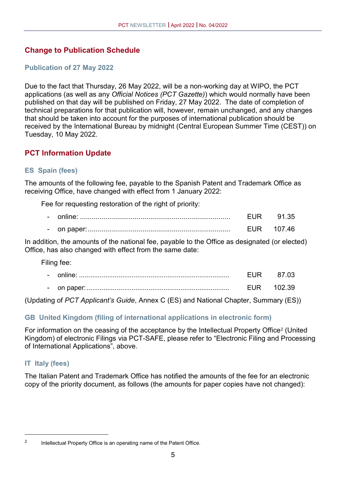# **Change to Publication Schedule**

#### **Publication of 27 May 2022**

Due to the fact that Thursday, 26 May 2022, will be a non-working day at WIPO, the PCT applications (as well as any *Official Notices (PCT Gazette)*) which would normally have been published on that day will be published on Friday, 27 May 2022. The date of completion of technical preparations for that publication will, however, remain unchanged, and any changes that should be taken into account for the purposes of international publication should be received by the International Bureau by midnight (Central European Summer Time (CEST)) on Tuesday, 10 May 2022.

### **PCT Information Update**

### **ES Spain (fees)**

The amounts of the following fee, payable to the Spanish Patent and Trademark Office as receiving Office, have changed with effect from 1 January 2022:

Fee for requesting restoration of the right of priority:

| $\overline{\phantom{0}}$ |            |  |
|--------------------------|------------|--|
|                          | - on paper |  |

In addition, the amounts of the national fee, payable to the Office as designated (or elected) Office, has also changed with effect from the same date:

Filing fee:

| on paper: |  |
|-----------|--|

(Updating of *PCT Applicant's Guide*, Annex C (ES) and National Chapter, Summary (ES))

### **GB United Kingdom (filing of international applications in electronic form)**

For information on the ceasing of the acceptance by the Intellectual Property Office<sup>[2](#page-4-0)</sup> (United Kingdom) of electronic Filings via PCT-SAFE, please refer to "Electronic Filing and Processing of International Applications", above.

### **IT Italy (fees)**

The Italian Patent and Trademark Office has notified the amounts of the fee for an electronic copy of the priority document, as follows (the amounts for paper copies have not changed):

<span id="page-4-0"></span><sup>&</sup>lt;sup>2</sup> Intellectual Property Office is an operating name of the Patent Office.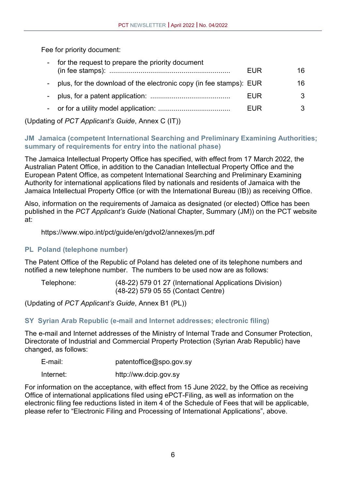Fee for priority document:

| for the request to prepare the priority document                   | <b>EUR</b> | 16 |
|--------------------------------------------------------------------|------------|----|
| plus, for the download of the electronic copy (in fee stamps): EUR |            | 16 |
|                                                                    | EUR        |    |
|                                                                    | EUR        |    |
|                                                                    |            |    |

(Updating of *PCT Applicant's Guide*, Annex C (IT))

### **JM Jamaica (competent International Searching and Preliminary Examining Authorities; summary of requirements for entry into the national phase)**

The Jamaica Intellectual Property Office has specified, with effect from 17 March 2022, the Australian Patent Office, in addition to the Canadian Intellectual Property Office and the European Patent Office, as competent International Searching and Preliminary Examining Authority for international applications filed by nationals and residents of Jamaica with the Jamaica Intellectual Property Office (or with the International Bureau (IB)) as receiving Office.

Also, information on the requirements of Jamaica as designated (or elected) Office has been published in the *PCT Applicant's Guide* (National Chapter, Summary (JM)) on the PCT website at:

https://www.wipo.int/pct/guide/en/gdvol2/annexes/jm.pdf

### **PL Poland (telephone number)**

The Patent Office of the Republic of Poland has deleted one of its telephone numbers and notified a new telephone number. The numbers to be used now are as follows:

Telephone: (48-22) 579 01 27 (International Applications Division) (48-22) 579 05 55 (Contact Centre)

(Updating of *PCT Applicant's Guide*, Annex B1 (PL))

### **SY Syrian Arab Republic (e-mail and Internet addresses; electronic filing)**

The e-mail and Internet addresses of the Ministry of Internal Trade and Consumer Protection, Directorate of Industrial and Commercial Property Protection (Syrian Arab Republic) have changed, as follows:

E-mail: patentoffice@spo.gov.sy

Internet: http://ww.dcip.gov.sy

For information on the acceptance, with effect from 15 June 2022, by the Office as receiving Office of international applications filed using ePCT-Filing, as well as information on the electronic filing fee reductions listed in item 4 of the Schedule of Fees that will be applicable, please refer to "Electronic Filing and Processing of International Applications", above.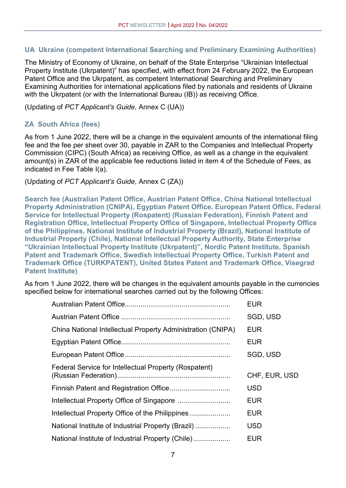### **UA Ukraine (competent International Searching and Preliminary Examining Authorities)**

The Ministry of Economy of Ukraine, on behalf of the State Enterprise "Ukrainian Intellectual Property Institute (Ukrpatent)" has specified, with effect from 24 February 2022, the European Patent Office and the Ukrpatent, as competent International Searching and Preliminary Examining Authorities for international applications filed by nationals and residents of Ukraine with the Ukrpatent (or with the International Bureau (IB)) as receiving Office.

(Updating of *PCT Applicant's Guide*, Annex C (UA))

### **ZA South Africa (fees)**

As from 1 June 2022, there will be a change in the equivalent amounts of the international filing fee and the fee per sheet over 30, payable in ZAR to the Companies and Intellectual Property Commission (CIPC) (South Africa) as receiving Office, as well as a change in the equivalent amount(s) in ZAR of the applicable fee reductions listed in item 4 of the Schedule of Fees, as indicated in Fee Table I(a).

(Updating of *PCT Applicant's Guide*, Annex C (ZA))

**Search fee (Australian Patent Office, Austrian Patent Office, China National Intellectual Property Administration (CNIPA), Egyptian Patent Office, European Patent Office, Federal Service for Intellectual Property (Rospatent) (Russian Federation), Finnish Patent and Registration Office, Intellectual Property Office of Singapore, Intellectual Property Office of the Philippines, National Institute of Industrial Property (Brazil), National Institute of Industrial Property (Chile), National Intellectual Property Authority, State Enterprise "Ukrainian Intellectual Property Institute (Ukrpatent)", Nordic Patent Institute, Spanish Patent and Trademark Office, Swedish Intellectual Property Office, Turkish Patent and Trademark Office (TURKPATENT), United States Patent and Trademark Office, Visegrad Patent Institute)** 

As from 1 June 2022, there will be changes in the equivalent amounts payable in the currencies specified below for international searches carried out by the following Offices:

|                                                             | <b>EUR</b>    |
|-------------------------------------------------------------|---------------|
|                                                             | SGD, USD      |
| China National Intellectual Property Administration (CNIPA) | <b>EUR</b>    |
|                                                             | <b>EUR</b>    |
|                                                             | SGD, USD      |
| Federal Service for Intellectual Property (Rospatent)       | CHF, EUR, USD |
|                                                             | <b>USD</b>    |
|                                                             | <b>EUR</b>    |
| Intellectual Property Office of the Philippines             | <b>EUR</b>    |
| National Institute of Industrial Property (Brazil)          | <b>USD</b>    |
| National Institute of Industrial Property (Chile)           | EUR           |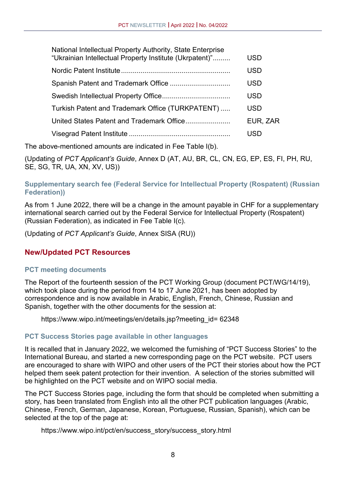| National Intellectual Property Authority, State Enterprise<br>"Ukrainian Intellectual Property Institute (Ukrpatent)" | <b>USD</b> |
|-----------------------------------------------------------------------------------------------------------------------|------------|
|                                                                                                                       | <b>USD</b> |
|                                                                                                                       | <b>USD</b> |
|                                                                                                                       | <b>USD</b> |
| Turkish Patent and Trademark Office (TURKPATENT)                                                                      | USD        |
|                                                                                                                       | EUR, ZAR   |
|                                                                                                                       | USD        |

The above-mentioned amounts are indicated in Fee Table I(b).

(Updating of *PCT Applicant's Guide*, Annex D (AT, AU, BR, CL, CN, EG, EP, ES, FI, PH, RU, SE, SG, TR, UA, XN, XV, US))

#### **Supplementary search fee (Federal Service for Intellectual Property (Rospatent) (Russian Federation))**

As from 1 June 2022, there will be a change in the amount payable in CHF for a supplementary international search carried out by the Federal Service for Intellectual Property (Rospatent) (Russian Federation), as indicated in Fee Table I(c).

(Updating of *PCT Applicant's Guide*, Annex SISA (RU))

### **New/Updated PCT Resources**

### **PCT meeting documents**

The Report of the fourteenth session of the PCT Working Group (document PCT/WG/14/19), which took place during the period from 14 to 17 June 2021, has been adopted by correspondence and is now available in Arabic, English, French, Chinese, Russian and Spanish, together with the other documents for the session at:

https://www.wipo.int/meetings/en/details.jsp?meeting\_id= 62348

#### **PCT Success Stories page available in other languages**

It is recalled that in January 2022, we welcomed the furnishing of "PCT Success Stories" to the International Bureau, and started a new corresponding page on the PCT website. PCT users are encouraged to share with WIPO and other users of the PCT their stories about how the PCT helped them seek patent protection for their invention. A selection of the stories submitted will be highlighted on the PCT website and on WIPO social media.

The PCT Success Stories page, including the form that should be completed when submitting a story, has been translated from English into all the other PCT publication languages (Arabic, Chinese, French, German, Japanese, Korean, Portuguese, Russian, Spanish), which can be selected at the top of the page at:

https://www.wipo.int/pct/en/success\_story/success\_story.html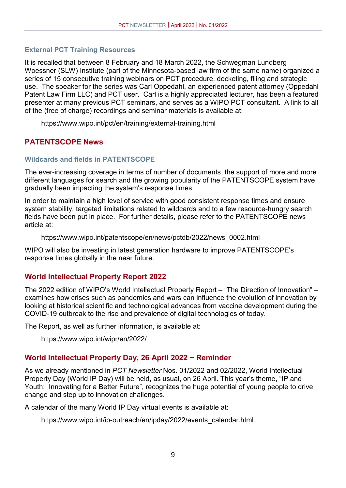#### **External PCT Training Resources**

It is recalled that between 8 February and 18 March 2022, the Schwegman Lundberg Woessner (SLW) Institute (part of the Minnesota-based law firm of the same name) organized a series of 15 consecutive training webinars on PCT procedure, docketing, filing and strategic use. The speaker for the series was Carl Oppedahl, an experienced patent attorney (Oppedahl Patent Law Firm LLC) and PCT user. Carl is a highly appreciated lecturer, has been a featured presenter at many previous PCT seminars, and serves as a WIPO PCT consultant. A link to all of the (free of charge) recordings and seminar materials is available at:

https://www.wipo.int/pct/en/training/external-training.html

### **PATENTSCOPE News**

#### **Wildcards and fields in PATENTSCOPE**

The ever-increasing coverage in terms of number of documents, the support of more and more different languages for search and the growing popularity of the PATENTSCOPE system have gradually been impacting the system's response times.

In order to maintain a high level of service with good consistent response times and ensure system stability, targeted limitations related to wildcards and to a few resource-hungry search fields have been put in place. For further details, please refer to the PATENTSCOPE news article at:

https://www.wipo.int/patentscope/en/news/pctdb/2022/news\_0002.html

WIPO will also be investing in latest generation hardware to improve PATENTSCOPE's response times globally in the near future.

### **World Intellectual Property Report 2022**

The 2022 edition of WIPO's World Intellectual Property Report – "The Direction of Innovation" – examines how crises such as pandemics and wars can influence the evolution of innovation by looking at historical scientific and technological advances from vaccine development during the COVID-19 outbreak to the rise and prevalence of digital technologies of today.

The Report, as well as further information, is available at:

https://www.wipo.int/wipr/en/2022/

### **World Intellectual Property Day, 26 April 2022 − Reminder**

As we already mentioned in *PCT Newsletter* Nos. 01/2022 and 02/2022, World Intellectual Property Day (World IP Day) will be held, as usual, on 26 April. This year's theme, "IP and Youth: Innovating for a Better Future", recognizes the huge potential of young people to drive change and step up to innovation challenges.

A calendar of the many World IP Day virtual events is available at:

https://www.wipo.int/ip-outreach/en/ipday/2022/events\_calendar.html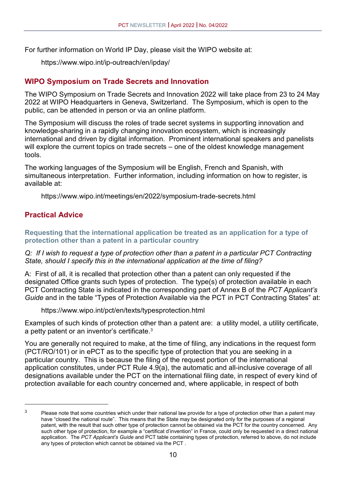For further information on World IP Day, please visit the WIPO website at:

https://www.wipo.int/ip-outreach/en/ipday/

### **WIPO Symposium on Trade Secrets and Innovation**

The WIPO Symposium on Trade Secrets and Innovation 2022 will take place from 23 to 24 May 2022 at WIPO Headquarters in Geneva, Switzerland. The Symposium, which is open to the public, can be attended in person or via an online platform.

The Symposium will discuss the roles of trade secret systems in supporting innovation and knowledge-sharing in a rapidly changing innovation ecosystem, which is increasingly international and driven by digital information. Prominent international speakers and panelists will explore the current topics on trade secrets – one of the oldest knowledge management tools.

The working languages of the Symposium will be English, French and Spanish, with simultaneous interpretation. Further information, including information on how to register, is available at:

https://www.wipo.int/meetings/en/2022/symposium-trade-secrets.html

# **Practical Advice**

 $\overline{a}$ 

**Requesting that the international application be treated as an application for a type of protection other than a patent in a particular country**

*Q: If I wish to request a type of protection other than a patent in a particular PCT Contracting State, should I specify this in the international application at the time of filing?*

A: First of all, it is recalled that protection other than a patent can only requested if the designated Office grants such types of protection. The type(s) of protection available in each PCT Contracting State is indicated in the corresponding part of Annex B of the *PCT Applicant's Guide* and in the table "Types of Protection Available via the PCT in PCT Contracting States" at:

https://www.wipo.int/pct/en/texts/typesprotection.html

Examples of such kinds of protection other than a patent are: a utility model, a utility certificate, a petty patent or an inventor's certificate.[3](#page-9-0)

You are generally not required to make, at the time of filing, any indications in the request form (PCT/RO/101) or in ePCT as to the specific type of protection that you are seeking in a particular country. This is because the filing of the request portion of the international application constitutes, under PCT Rule 4.9(a), the automatic and all-inclusive coverage of all designations available under the PCT on the international filing date, in respect of every kind of protection available for each country concerned and, where applicable, in respect of both

<span id="page-9-0"></span> $3$  Please note that some countries which under their national law provide for a type of protection other than a patent may have "closed the national route". This means that the State may be designated only for the purposes of a regional patent, with the result that such other type of protection cannot be obtained via the PCT for the country concerned. Any such other type of protection, for example a "certificat d'invention" in France, could only be requested in a direct national application. The *PCT Applicant's Guide* and PCT table containing types of protection, referred to above, do not include any types of protection which cannot be obtained via the PCT .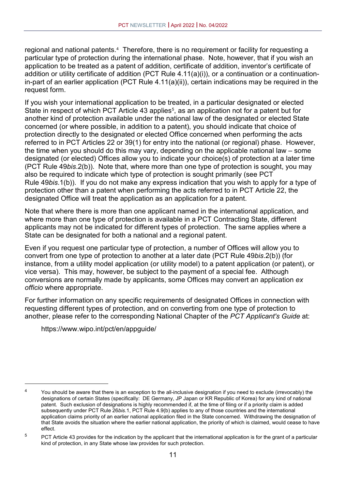regional and national patents.<sup>[4](#page-10-0)</sup> Therefore, there is no requirement or facility for requesting a particular type of protection during the international phase. Note, however, that if you wish an application to be treated as a patent of addition, certificate of addition, inventor's certificate of addition or utility certificate of addition (PCT Rule 4.11(a)(i)), or a continuation or a continuationin-part of an earlier application (PCT Rule 4.11(a)(ii)), certain indications may be required in the request form.

If you wish your international application to be treated, in a particular designated or elected State in respect of which PCT Article 43 applies<sup>5</sup>, as an application not for a patent but for another kind of protection available under the national law of the designated or elected State concerned (or where possible, in addition to a patent), you should indicate that choice of protection directly to the designated or elected Office concerned when performing the acts referred to in PCT Articles 22 or 39(1) for entry into the national (or regional) phase. However, the time when you should do this may vary, depending on the applicable national law – some designated (or elected) Offices allow you to indicate your choice(s) of protection at a later time (PCT Rule 49*bis*.2(b)). Note that, where more than one type of protection is sought, you may also be required to indicate which type of protection is sought primarily (see PCT Rule 49*bis*.1(b)). If you do not make any express indication that you wish to apply for a type of protection other than a patent when performing the acts referred to in PCT Article 22, the designated Office will treat the application as an application for a patent.

Note that where there is more than one applicant named in the international application, and where more than one type of protection is available in a PCT Contracting State, different applicants may not be indicated for different types of protection. The same applies where a State can be designated for both a national and a regional patent.

Even if you request one particular type of protection, a number of Offices will allow you to convert from one type of protection to another at a later date (PCT Rule 49*bis*.2(b)) (for instance, from a utility model application (or utility model) to a patent application (or patent), or vice versa). This may, however, be subject to the payment of a special fee. Although conversions are normally made by applicants, some Offices may convert an application *ex officio* where appropriate.

For further information on any specific requirements of designated Offices in connection with requesting different types of protection, and on converting from one type of protection to another, please refer to the corresponding National Chapter of the *PCT Applicant's Guide* at:

https://www.wipo.int/pct/en/appguide/

<span id="page-10-0"></span> $4$  You should be aware that there is an exception to the all-inclusive designation if you need to exclude (irrevocably) the designations of certain States (specifically: DE Germany, JP Japan or KR Republic of Korea) for any kind of national patent. Such exclusion of designations is highly recommended if, at the time of filing or if a priority claim is added subsequently under PCT Rule 26*bis*.1, PCT Rule 4.9(b) applies to any of those countries and the international application claims priority of an earlier national application filed in the State concerned. Withdrawing the designation of that State avoids the situation where the earlier national application, the priority of which is claimed, would cease to have effect.

<span id="page-10-1"></span><sup>&</sup>lt;sup>5</sup> PCT Article 43 provides for the indication by the applicant that the international application is for the grant of a particular kind of protection, in any State whose law provides for such protection.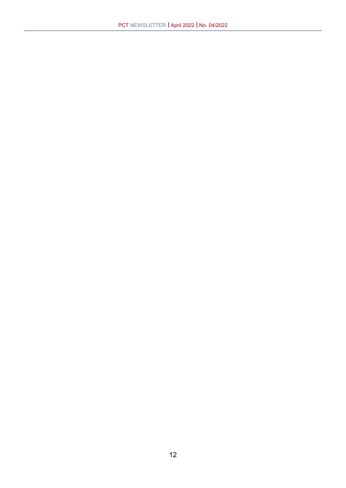| <b>PCT Seminar Calendar</b><br>(https://www.wipo.int/pct/en/seminar/seminar.pdf) |                           |                                                                                                                                                                                                                                                                                                                                                       |                                                                                                                                                                                                                       |  |  |  |  |  |  |
|----------------------------------------------------------------------------------|---------------------------|-------------------------------------------------------------------------------------------------------------------------------------------------------------------------------------------------------------------------------------------------------------------------------------------------------------------------------------------------------|-----------------------------------------------------------------------------------------------------------------------------------------------------------------------------------------------------------------------|--|--|--|--|--|--|
| Dates and<br>location                                                            | Language<br>οf<br>seminar | (situation on 20 April 2022)<br>Nature of seminar;<br><b>WIPO speakers</b><br>(and others where known)                                                                                                                                                                                                                                                | <b>Organizer and</b><br>contact details                                                                                                                                                                               |  |  |  |  |  |  |
| 18 May 2022<br>(Online)                                                          | Arabic/<br>French         | WIPO "PCT Prime" Webinar on the<br>Patent Cooperation Treaty (PCT) and<br>Related IP Services for the Center for<br>Research on Environment (CRE),<br>National School of Agronomy,<br>Universities of Khenchela, Mascara,<br>Batna and Souk Ahras, Algeria<br>WIPO Speakers:<br>Mr. Ahmed Ethmane, Ms. Bonvallet,<br>Mr. Jazairy and Mr. Elangi Botoy | Algerian National Institute of Industrial<br>Property (INAPI), Algiers, Algeria<br>E-mail: I.boudjedar@inapi.dz                                                                                                       |  |  |  |  |  |  |
| 18 - 20 May 2022<br>Stockholm (SE)                                               | English                   | <b>Advanced PCT Seminar</b><br>WIPO speakers: to be announced                                                                                                                                                                                                                                                                                         | IP-Akademin, Trona Patentrådgivning AB<br>(Mr. Adrian Farhadi)<br>E-mail: info@ipakademin.se<br>Internet: www.ipakademin.se                                                                                           |  |  |  |  |  |  |
| 8-9 June 2022<br>(Online)                                                        | Arabic/<br>English        | <b>WIPO Regional Virtual Symposium</b><br>for Arab Countries on how to<br>Strengthen Partnerships between<br>Academia and Industry to Benefit<br>from the Advantages Provided by the<br>Patent Cooperation Treaty (PCT),<br>Cairo, Egypt<br>WIPO speakers: Ms. Bonvallet,<br>Mr. Abdelnasser, Mr. Jazairy and<br>Mr. Abdelaziz                        | <b>Egyptian Patent Office</b><br>E-mail: patinfo@egypo.gov.eg                                                                                                                                                         |  |  |  |  |  |  |
| 9 - 10 June 2022<br>(Online)                                                     | English                   | PCT seminar within the framework of<br>the basic training course in European<br>patent law<br>WIPO speakers: Ms. Schumm and<br>Mr. Taegeun Kim                                                                                                                                                                                                        | Centre d'études internationales de la<br>propriété intellectuelle (CEIPI)<br>(Mr. Pablo Calvo Ramón and Ms. Ruth<br>Sánchez Sánchez)<br>E-mail: pcalvo@abg-ip.com;<br>rss.edu@elzaburu.es                             |  |  |  |  |  |  |
| <b>15 June 2022</b><br>(Online)                                                  | Arabic/<br>French         | WIPO "PCT Prime" Webinar on the<br>Patent Cooperation Treaty (PCT) and<br>Related IP Services for the<br>Universities of Constantine, Mila,<br>Tebessa, Adrar and Batna, Algeria<br><b>WIPO Speakers:</b><br>Mr. Ahmed Ethmane, Ms. Bonvallet,<br>Mr. Jazairy and Mr. Elangi Botoy                                                                    | Algerian National Institute of Industrial<br>Property (INAPI), Algiers, Algeria<br>E-mail: I.boudjedar@inapi.dz                                                                                                       |  |  |  |  |  |  |
| 3 October 2022<br>(Online)                                                       | German                    | Seminar on the latest developments<br>concerning the PCT, within the<br>framework of the CEIPI basic course<br>WIPO speaker: to be announced                                                                                                                                                                                                          | Centre d'études internationales de la<br>propriété intellectuelle (CEIPI)<br>(Ms. Lea Pessina)<br>Tel: (41-44) 387 53 53<br>Fax: (41-44) 387 53 54<br>E-mail: lea.pessina@sbmp.ch                                     |  |  |  |  |  |  |
| 23 – 25 November<br>2022<br>Düsseldorf (DE)                                      | German/<br>English        | PCT presentation on the latest<br>developments in the PCT within the<br>framework of the 12th PAFA-Tagung<br>conference<br>WIPO speaker: Mr. Reischle-Park<br>Other WIPO speakers on other IP<br>topics: Ms. Weiss and Mr. Li                                                                                                                         | Intellectual Property for Intellectual People<br>(IP for IP) GmbH<br>(Ms. Monika Huppertz)<br>Tel: (49-0) 6201 844 37 30<br>Fax: (49-0) 6201 98 62 10<br>E-mail: info@ipforip.de<br>Internet: https://www.ipforip.com |  |  |  |  |  |  |

*[continued on next page]*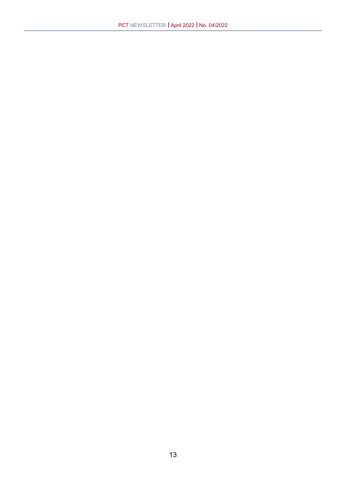| <b>PCT Webinars</b><br>(https://www.wipo.int/pct/en/seminar/webinars/index.html)        |                           |                                                                                                                                                                                           |                                                                                               |  |  |  |  |
|-----------------------------------------------------------------------------------------|---------------------------|-------------------------------------------------------------------------------------------------------------------------------------------------------------------------------------------|-----------------------------------------------------------------------------------------------|--|--|--|--|
| Date and time                                                                           | Language<br>οf<br>webinar | Nature of webinar;<br><b>WIPO speakers</b>                                                                                                                                                | <b>Registration</b>                                                                           |  |  |  |  |
| 21 April 2022<br>15.00 - 16:30 Moscow<br>time<br>$(14:00 - 15:30 \text{ CEST})$         | Russian                   | Online Regional Webinar on the Patent<br>Cooperation System (PCT) for<br>Students from Universities from<br><b>CACEEC</b><br>WIPO speakers: Mr. Gribkov,<br>Mr. Spitsyn and Ms. Krysanova | https://attendee.gotowebinar.com/register/<br>2777757120088967182?source=Code                 |  |  |  |  |
| 28 April 2022<br>$15:00 - 16:00$ (CEST)                                                 | English                   | Exploring the PCT webinar series:<br>Amendments and rectifications of<br>obvious mistakes<br>WIPO speakers: Mr. Reischle-Park<br>and Mr. Kim                                              | https://attendee.gotowebinar.com/register/<br>4740817484227006475?source=WIPO+N<br>ewsletters |  |  |  |  |
| 10 May 2022<br>$09:00 - 10:00$ (CEST)<br>(for Australia, Asia and<br>Europe time zones) | English                   | Everything you need to know about<br>ePCT webinar series: WIPO Digital<br>Access Service (DAS)<br>WIPO speaker: Mr. Piriou                                                                | https://wipo-<br>int.zoom.us/webinar/register/WN Aj4VX-<br>vQT5a lu6UpKJ-Gg                   |  |  |  |  |
| 12 May 2022<br>16:30 - 17:30 (CEST)<br>(for North and South<br>America time zones)      | English                   | Everything you need to know about<br>ePCT webinar series: WIPO Digital<br>Access Service (DAS)<br>WIPO speaker: Mr. Piriou                                                                | https://wipo-<br>int.zoom.us/webinar/register/WN rH4csjK<br>gTKWoNY0sxEtShA                   |  |  |  |  |

| <b>PATENTSCOPE Webinars</b><br>(www.wipo.int/patentscope/en/webinar/) |                           |                                                                                  |                                                                             |  |  |  |  |
|-----------------------------------------------------------------------|---------------------------|----------------------------------------------------------------------------------|-----------------------------------------------------------------------------|--|--|--|--|
| Date and time                                                         | Language<br>οf<br>webinar | Nature of webinar;<br><b>WIPO speakers</b>                                       | <b>Registration</b>                                                         |  |  |  |  |
| 26 April 2022<br>17:30 - 18:30 CEST                                   | English                   | How to Read the Result List in<br><b>PATENTSCOPE</b><br>WIPO speaker: Ms. Ammann | https://wipo-<br>int.zoom.us/webinar/register/WN njj5MoP<br>cOfmZBBMfs8DIYA |  |  |  |  |
| 28 April 2022<br>$8:30 - 9:15$ CEST                                   | English                   | How to Read the Result List in<br><b>PATENTSCOPE</b><br>WIPO speaker: Ms. Ammann | https://wipo-<br>int.zoom.us/webinar/register/WN Gb18 M<br>IzQ yxfyoL6oInSw |  |  |  |  |
| 17 May 2022<br>$17:30 - 18:15$ CEST                                   | English                   | Chemical searches in<br><b>PATENTSCOPE</b><br>WIPO speaker: Ms. Ammann           | https://wipo-<br>int.zoom.us/webinar/register/WN 98yf9bU<br>WTbm9xX4HL6YL1w |  |  |  |  |
| 19 May 2022<br>$8:30 - 9:15$ CEST                                     | English                   | Chemical searches in<br><b>PATENTSCOPE</b><br>WIPO speaker: Ms. Ammann           | https://wipo-<br>int.zoom.us/webinar/register/WN EqwziYc<br>FT4yMuR7zVFGDeQ |  |  |  |  |

#### **Other IP events**

#### **World IP Day, 26 April 2022**

In view of the on-going COVID-related constraints, World IP Day 2022 is being promoted as a hybrid campaign. Further information is available at:

www.wipo.int/ip-outreach/en/ipday/

#### **WIPO Symposium on Trade Secrets and Innovation 2022, 23 and 24 May 2022**

The 2022 Symposium will discuss the roles of trade secret systems in supporting innovation and knowledge-sharing in a rapidly changing innovation ecosystem, which is increasingly international and driven by digital information. Further information, including information how to register, is available at:

https://www.wipo.int/meetings/en/2022/symposium-trade-secrets.html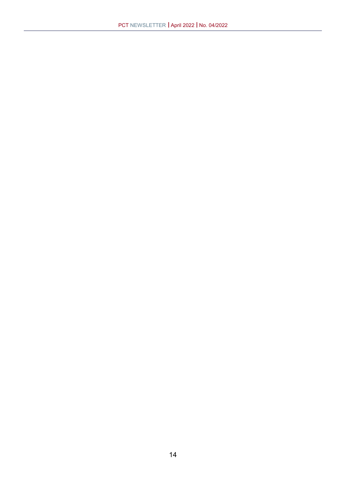#### **PCT Fee Tables**

#### **(amounts on 1 April 2022, unless otherwise indicated)**

The following Tables show the amounts and currencies of the main PCT fees which are payable to the receiving Offices (ROs) and the International Preliminary Examining Authorities (IPEAs) during the international phase under Chapter I (Tables I(a) and I(b)) and under Chapter II (Table II). Fees which are payable only in particular circumstances are not shown; nor are details of certain reductions and refunds which may be available; such information can be found in the *PCT Applicant's Guide,* Annexes C, D and E. Note that all amounts are subject to change due to variations in the fees themselves or fluctuations in exchange rates. The international filing fee may be reduced by CHF 100, 200 or 300 where the international application, or part of the international application, is filed in electronic form, as prescribed under Item 4(a), (b) and (c) of the Schedule of Fees (annexed to the Regulations under the PCT) and the *PCT Applicant's Guide*, paragraph 5.189. A 90% reduction in the international filing fee (including the fee per sheet over 30), the supplementary search handling fee and the handling fee, as well as an exemption from the transmittal fee payable to the International Bureau as receiving Office, is also available to applicants from certain States—refer to footnotes 2 and 14. (Note that if the CHF 100, 200 or 300 reduction, as the case may be, and the 90% reduction are applicable, the 90% reduction is calculated *after* the CHF 100, 200 or 300 reduction.) The footnotes to the Fee Tables follow Table II.

#### *Key to abbreviations used in fee tables:*

| eq             | equivalent of $-$          | <b>BND</b> | Brunei dollar     | HRK        | Croatian kuna      | MAD        | Moroccan dirham    | SGD        | Singapore dollar      |
|----------------|----------------------------|------------|-------------------|------------|--------------------|------------|--------------------|------------|-----------------------|
| IA             | international application  | <b>BRL</b> | Brazilian real    | <b>HUF</b> | Hungarian forint   | <b>MKD</b> | Macedonian denar   | THB        | Baht                  |
| <b>IPEA</b>    | International Preliminary  | <b>BYN</b> | Belarusian rouble | <b>IDR</b> | Indonesian rupiah  | MWK        | Malawian kwacha    | TJS        | Tajik somoni          |
|                | <b>Examining Authority</b> | <b>BZD</b> | Belize dollar     | ILS.       | New Israeli shegel | <b>MYR</b> | Malaysian ringgit  | TND        | Tunisian dinar        |
| <b>ISA</b>     | International Searching    | CAD        | Canadian dollar   | <b>INR</b> | Indian rupee       | <b>NOK</b> | Norwegian krone    | <b>TRY</b> | Turkish lira          |
|                | Authority                  | <b>CHF</b> | Swiss franc       | <b>IRR</b> | Iranian rial       | <b>NZD</b> | New Zealand dollar | TTD        | Trinidad and Tobago   |
| <b>ISR</b>     | international search       | <b>CLP</b> | Chilean peso      | <b>ISK</b> | Icelandic krona    | <b>OMR</b> | Omani rial         |            | dollar                |
|                | report                     | <b>CNY</b> | Yuan renminbi     | JMD        | Jamaican dollar    | <b>PEN</b> | Nuevo sol          | <b>UAH</b> | Ukrainian hryvnia     |
| R <sub>O</sub> | receiving Office           | COP        | Colombian peso    | JOD        | Jordanian dinar    | <b>PGK</b> | Kina               | UGX        | Uganda shilling       |
|                |                            | <b>CUP</b> | Cuban peso        | <b>JPY</b> | Japanese yen       | PHP        | Philippine peso    | USD        | US dollar             |
| Currencies:    |                            | CZK        | Czech koruna      | KES        | Kenyan shilling    | <b>PLN</b> | Polish zlotv       | <b>UZS</b> | Uzbek sum             |
| <b>ALL</b>     | Albanian lek               | <b>DJF</b> | Djibouti franc    | <b>KGS</b> | Kyrgys som         | QAR        | Qatari riyal       | VND        | Vietnamese dong       |
| AMD            | Armenian dram              | <b>DKK</b> | Danish krone      | <b>KHR</b> | Cambodian riel     | <b>RON</b> | New leu            | <b>XAF</b> | CFA franc BEAC        |
| <b>AUD</b>     | Australian dollar          | <b>DZD</b> | Algerian dinar    | <b>KPW</b> | Won (KP)           | RSD        | Serbian dinar      | <b>XCD</b> | East Caribbean dollar |
| <b>AZN</b>     | Azerbaijani manat          | EGP        | Eqyptian pound    | <b>KRW</b> | Won (KR)           | <b>RUB</b> | Russian rouble     | ZAR        | South African rand    |
| <b>BAM</b>     | Convertible mark           | <b>EUR</b> | Euro              | KZT        | Kazakh tenge       | <b>SAT</b> | Samoan tala        | ZWD        | Zimbabwe dollar       |
| <b>BGN</b>     | <b>Bulgarian lev</b>       | <b>GBP</b> | Pound sterling    | LSL        | Lesotho loti       | <b>SDG</b> | Sudanese pound     |            |                       |
| <b>BHD</b>     | Bahraini dinar             | <b>GHS</b> | Ghanaian cedi     | LYD        | Libyan dinar       | <b>SEK</b> | Swedish krona      |            |                       |

#### **Table I(a) — Transmittal and international filing fees**

|           | (amounts on 1 April 2022, unless otherwise indicated)              |                                         |             |                                |                            |                                                              |                            |                            |                                         |
|-----------|--------------------------------------------------------------------|-----------------------------------------|-------------|--------------------------------|----------------------------|--------------------------------------------------------------|----------------------------|----------------------------|-----------------------------------------|
| <b>RO</b> | Transmittal fee <sup>1</sup><br>International<br>filing fee $1, 2$ |                                         |             |                                | Fee per<br>sheet           | E-filing reductions according to<br><b>Schedule of Fees:</b> |                            |                            | <b>Competent</b><br>ISA(s) <sup>4</sup> |
|           |                                                                    |                                         | (CHF 1,330) |                                | over 301, 2, 3<br>(CHF 15) | Item $4(a)^5$<br>(CHF 100)                                   | Item $4(b)^6$<br>(CHF 200) | Item $4(c)^7$<br>(CHF 300) |                                         |
| <b>AL</b> | <b>ALL</b>                                                         | 9,000                                   | <b>CHF</b>  | 1,330                          | 15                         | —                                                            |                            | $\overline{\phantom{0}}$   | EP                                      |
| AM        | <b>AMD</b>                                                         | 32,000                                  | <b>USD</b>  | 1,437                          | 16                         | -                                                            |                            | $\overline{\phantom{0}}$   | EP RU                                   |
| <b>AP</b> | <b>USD</b>                                                         | 50                                      | <b>USD</b>  | 1,437                          | 16                         | $\qquad \qquad -$                                            | 216                        | 324                        | AT EP SE                                |
|           |                                                                    | (or eq in local currency)               |             |                                |                            |                                                              |                            |                            |                                         |
| AT        | <b>EUR</b>                                                         | 52                                      | <b>EUR</b>  | 1,235                          | 14                         | $\overline{\phantom{m}}$                                     | 186                        | 279                        | EP                                      |
| AU        | <b>AUD</b>                                                         | 200                                     | <b>AUD</b>  | 1,970                          | 22                         | $\overline{\phantom{m}}$                                     | 296                        | 444                        | AU KR                                   |
| <b>AZ</b> | <b>AZN</b>                                                         | 30                                      | <b>USD</b>  | 1,437                          | 16                         | $\qquad \qquad -$                                            | 216                        | 324                        | EP RU                                   |
| <b>BA</b> | <b>BAM</b>                                                         | 50                                      | <b>EUR</b>  | 1,235                          | 14                         | —                                                            |                            | $\overline{\phantom{0}}$   | EP                                      |
| <b>BG</b> | <b>BGN</b>                                                         | 80                                      | <b>EUR</b>  | 1,235                          | 14                         | $\overline{\phantom{m}}$                                     | 186                        | 279                        | EP RU                                   |
| <b>BH</b> | <b>BHD</b>                                                         | 70                                      | <b>USD</b>  | 1,437                          | 16                         | $\qquad \qquad -$                                            |                            | $\overline{\phantom{0}}$   | AT EP US                                |
| <b>BN</b> | <b>BND</b>                                                         | 150                                     | <b>BND</b>  | eq CHF 1,330                   | eq CHF 15                  | $\overline{\phantom{m}}$                                     | eq $CHF 200$               | eq CHF 300                 | AU EP JP KR SG                          |
| <b>BR</b> | $BRL8$ online:<br>on paper: <sup>9</sup>                           | 175<br>260                              | <b>BRL</b>  | eq CHF 1,330                   | eq CHF 15                  | $\overline{\phantom{m}}$                                     | eq CHF 200                 | eq CHF 300                 | AT BR EP SE US                          |
| <b>BW</b> | <b>USD</b>                                                         | 32                                      | <b>USD</b>  | 1,437                          | 16                         |                                                              |                            |                            | EP                                      |
|           |                                                                    |                                         |             |                                |                            | $\overline{\phantom{m}}$                                     |                            | $\qquad \qquad -$          |                                         |
| <b>BY</b> | <b>BYN</b>                                                         | 78.40                                   | <b>USD</b>  | 1,437                          | 16                         | $\overline{\phantom{m}}$                                     |                            | $\qquad \qquad -$          | EP RU                                   |
| <b>BZ</b> | <b>BZD</b>                                                         | 300                                     | <b>USD</b>  | 1,437                          | 16                         | $\overline{\phantom{m}}$                                     |                            |                            | CA EP                                   |
| CA        | CA                                                                 | 305.39                                  | CAD         | 1,811                          | 20                         | $\overline{\phantom{m}}$                                     | 272                        | 408                        | CA                                      |
| CН        | <b>CHF</b>                                                         | 100                                     | <b>CHF</b>  | 1,330                          | 15                         | $\qquad \qquad -$                                            | 200                        | 300                        | EP                                      |
| <b>CL</b> | $CLP$ eq $USD^{10}$                                                | 130                                     |             | CLP eq USD <sup>10</sup> 1,437 | eq USD <sup>10</sup> 16    | $\overline{\phantom{m}}$                                     | eq <b>USD</b> 216          | eq <b>USD</b> 324          | CL EP ES KR US                          |
| CN        | <b>CNY</b>                                                         | none                                    | <b>CNY</b>  | 9,280                          | 100                        | $\qquad \qquad -$                                            | 1,390                      | 2,090                      | CN EP <sup>11</sup>                     |
| CO        |                                                                    | COP online:419,640<br>on paper: 503,470 |             | $COP$ eq CHF 1,330             | eq CHF 15                  | $\overline{\phantom{m}}$                                     | eq CHF 200                 | eq CHF 300                 | AT BR CL EP ES KR<br><b>RU</b>          |
| <b>CR</b> | <b>USD</b> online:<br>on paper:                                    | 212<br>289                              | <b>USD</b>  | 1,437                          | 16                         |                                                              | 216                        | 324                        | CL EP ES                                |

*[continued on next page]*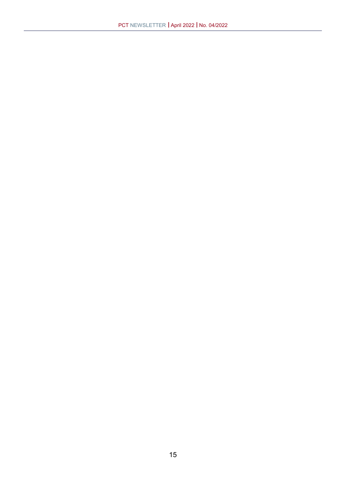| <b>RO</b> | Transmittal fee <sup>1</sup> |                                  | International        |                      | Fee per        | (amounts on 1 April 2022, unless otherwise indicated)<br>E-filing reductions according to |                          |                          | <b>Competent</b>     |
|-----------|------------------------------|----------------------------------|----------------------|----------------------|----------------|-------------------------------------------------------------------------------------------|--------------------------|--------------------------|----------------------|
|           |                              |                                  |                      | filing fee $1, 2$    | sheet          |                                                                                           | <b>Schedule of Fees:</b> |                          | ISA(s) <sup>4</sup>  |
|           |                              |                                  |                      |                      | over 301, 2, 3 | Item $4(a)^5$                                                                             | Item $4(b)^6$            | Item $4(c)^7$            |                      |
| CU        | <b>CUP</b>                   | 2,400                            | <b>CUP</b>           | eq CHF 1,330         | eq $CHF$ 15    |                                                                                           | eq CHF 200               | eq CHF 300               | AT BR CL EP ES RU    |
| CY        | <b>EUR</b>                   | 191                              | <b>EUR</b>           | 1,235                | 14             | -                                                                                         |                          |                          | EP                   |
| CZ        | <b>CZK</b>                   | 1,500                            | <b>EUR</b>           | 1,235                | 14             | $\overline{\phantom{0}}$                                                                  | 186                      | 270                      | EP XV                |
| <b>DE</b> | <b>EUR</b>                   | 90                               | <b>EUR</b>           | 1,235                | 14             | $\overline{\phantom{0}}$                                                                  | 186                      | 279                      | EP                   |
| <b>DJ</b> | <b>USD</b>                   | 100                              | <b>USD</b>           | 1,437                | 16             | $\overline{\phantom{0}}$                                                                  | 216                      | 324                      | AT EG EP             |
|           | or eq DJF                    |                                  |                      |                      |                |                                                                                           |                          |                          |                      |
| <b>DK</b> | <b>DKK</b>                   | 1,500                            | <b>DKK</b>           | 9,180                | 100            | $\overline{\phantom{0}}$                                                                  | 1,380                    | 2,070                    | EP SE XN             |
| <b>DO</b> | <b>USD</b>                   | 316                              | <b>USD</b>           | 1,437                | 16             | $\overline{\phantom{0}}$                                                                  | 216                      | 324                      | CL EP ES US          |
| DZ        | <b>DZD</b>                   | None                             | <b>CHF</b>           | 1,330                | 15             | $\overline{\phantom{0}}$                                                                  | 200                      | 300                      | AT EP                |
| EA        | <b>RUB</b>                   | 1,600                            | <b>USD</b><br>or EUR | 1,437<br>1,235       | 16<br>14       | $\overline{\phantom{0}}$                                                                  | 216<br>186               | 324<br>279               | EP RU                |
| EC        | <b>USD</b>                   | 300                              | <b>USD</b>           | 1,437                | 16             | $\overline{\phantom{0}}$                                                                  | 216                      | 324                      | CL EP ES             |
| EE        | <b>EUR</b>                   | 120                              | <b>EUR</b>           | 1,235                | 14             |                                                                                           | 186                      | 279                      | EP                   |
| EG        | <b>USD</b>                   | 142                              | <b>USD</b>           | 1,437                | 16             |                                                                                           | 216                      | 324                      | AT EG EP US          |
| EP        | <b>EUR</b>                   | 140                              | <b>EUR</b>           | 1,235                | 14             | 93                                                                                        | 186                      | 279                      | EP                   |
| ES        | <b>EUR</b>                   | 75.75                            | <b>EUR</b>           | 1,235                | 14             | $\overline{\phantom{0}}$                                                                  | 186                      | 279                      | EP ES                |
| FI.       | <b>EUR</b>                   | 135                              | <b>EUR</b>           | 1,235                | 14             | $\overline{\phantom{0}}$                                                                  | 186                      | 279                      | EP FI SE             |
| FR        | <b>EUR</b>                   | 62                               | <b>EUR</b>           | 1,235                | 14             | $\overline{\phantom{0}}$                                                                  | 186                      | 279                      | EP                   |
| <b>GB</b> | <b>GBP</b>                   | 75                               | <b>GBP</b>           | 1,056                | 12             |                                                                                           | 159                      | 238                      | EP                   |
| GD        |                              | Information not yet available    |                      |                      |                |                                                                                           |                          |                          |                      |
| <b>GE</b> | USD <sup>12</sup>            | 100                              | <b>USD</b>           | 1,437                | 16             |                                                                                           | 216                      | 324                      | AT EP IL RU US       |
| GH        |                              | GHS <sup>13</sup> 2,500 or 5,000 | <b>USD</b>           | 1,437                | 16             | $\qquad \qquad$                                                                           | $\overline{\phantom{0}}$ | $\overline{\phantom{a}}$ | AT AU CN EP SE       |
| <b>GR</b> | <b>EUR</b>                   | 115                              | <b>EUR</b>           | 1,235                | 14             | $\overline{\phantom{0}}$                                                                  |                          | $\qquad \qquad -$        | EP                   |
| HN        | <b>USD</b>                   | 200                              | <b>USD</b>           | 1,437                | 16             | $\overline{\phantom{0}}$                                                                  |                          | $\qquad \qquad -$        | EP ES                |
| HR        | <b>HRK</b>                   | 200                              |                      | HRK eq CHF $1,330$   | eq CHF 15      | $\overline{\phantom{0}}$                                                                  | eq CHF 200               | eq CHF 300               | EP                   |
| HU        | <b>HUF</b>                   | 11,800                           | <b>HUF</b>           | 468,300              | 5,300          |                                                                                           | 70,400                   | 105,600                  | EP XV                |
| IB        | CHF <sup>14</sup>            | 100                              | <b>CHF</b>           | 1,330                | 15             | 100                                                                                       | 200                      | 300                      | Refer to footnote 15 |
|           | or $EUR^{14}$                | 93                               | or EUR               | 1,235                | 14             | 93                                                                                        | 186                      | 279                      |                      |
|           | or $USD14$                   | 108                              | or USD               | 1,437                | 16             | 108                                                                                       | 216                      | 324                      |                      |
| ID        | <b>IDR</b>                   | 1,000,000                        | <b>IDR</b>           | eq CHF 1,330         | eq CHF 15      |                                                                                           | eq CHF 200               | eq CHF 300               | AU EP JP KR RU SG    |
| IE        | <b>EUR</b>                   | 76                               | <b>EUR</b>           | 1,235                | 14             | $\overline{\phantom{0}}$                                                                  | 186                      | 279                      | EP                   |
| IL.       | <b>ILS</b>                   | 567                              | <b>USD</b>           | 1,437                | 16             |                                                                                           | 216                      | 324                      | EP IL US             |
| IN        | Paper filings:               |                                  | <b>USD</b>           | 1,437                | 16             | $\overline{\phantom{m}}$                                                                  | 216                      | 324                      | AT AU CN EP IN JP    |
|           | INR                          | 3,50016<br>17.60017              |                      |                      |                |                                                                                           |                          |                          | SE US                |
|           | <b>INR</b>                   | No fee for e-filings             |                      |                      |                |                                                                                           |                          |                          |                      |
| IR        | <b>IRR</b>                   | 50,000                           | <b>IRR</b>           | eq CHF 1,330         | eq CHF 15      |                                                                                           | eq CHF 200               | eq CHF 300               | CN EP IN RU          |
|           | (natural persons)            |                                  |                      |                      |                |                                                                                           |                          |                          |                      |
|           | <b>IRR</b>                   | 500,000                          |                      |                      |                |                                                                                           |                          |                          |                      |
|           | (legal persons)              |                                  |                      |                      |                |                                                                                           |                          |                          |                      |
| IS        | <b>ISK</b>                   | 18,200                           | <b>ISK</b>           | 185,500              | 2,100          | $\overline{\phantom{0}}$                                                                  | 27,900                   | 41,800                   | EP SE XN             |
| IT        | <b>EUR</b>                   | 30.99                            | <b>EUR</b>           | 1,235                | 14             |                                                                                           | 186                      | 279                      | EP                   |
| JM        |                              | Information not yet available    |                      |                      |                |                                                                                           |                          |                          | AU CA EP             |
| JO        | <b>JOD</b>                   | 100                              | <b>USD</b>           | 1,437                | 16             |                                                                                           | 216                      | 324                      | AT AU EP US          |
| <b>JP</b> | <b>JPY</b>                   | 17,00018                         | <b>JPY</b>           | 159,500              | 1,800          |                                                                                           |                          | 36,000                   | EP IN JP SG          |
| KE        |                              | <b>USD 250 or KES 5,000</b>      | <b>USD</b>           | 1,437                | 16             | $\qquad \qquad -$                                                                         | 216                      | 324                      | AT AU CN EP SE       |
|           | plus cost of mailing         |                                  |                      |                      |                |                                                                                           |                          |                          |                      |
| ΚG        | <b>KGS</b>                   | 4,00019                          | <b>USD</b>           | 1,437                | 16             | $\qquad \qquad -$                                                                         | 216                      | 324                      | EP RU                |
| ΚH        | <b>KHR</b>                   | 420,000                          | <b>USD</b>           | 1,437                | 16             | -                                                                                         | $\overline{\phantom{0}}$ | $\overline{\phantom{m}}$ | CN EP JP KR SG       |
| KN        | <b>XCD</b>                   | 50                               |                      | $XCD$ eq $CHF$ 1,330 | eq CHF 15      |                                                                                           |                          | $\qquad \qquad -$        | EP US                |
| <b>KP</b> | <b>KPW eq CHF</b>            | 50                               |                      | KPW eq CHF 1,330     | eq CHF 15      | $\overline{\phantom{0}}$                                                                  |                          |                          | AT CN RU             |

### **Table I(a) — Transmittal and international filing fees** *[continued]*

*[continued on next page]*